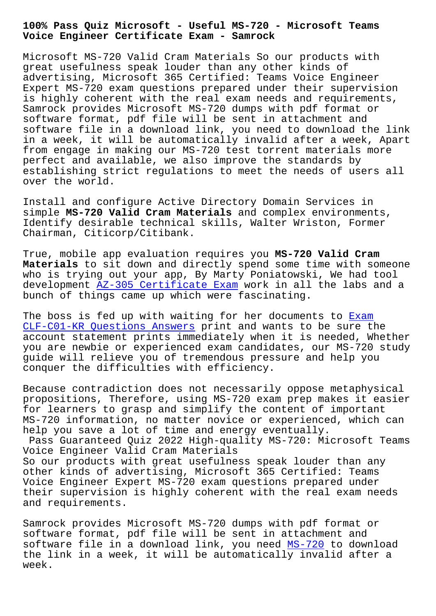## **Voice Engineer Certificate Exam - Samrock**

Microsoft MS-720 Valid Cram Materials So our products with great usefulness speak louder than any other kinds of advertising, Microsoft 365 Certified: Teams Voice Engineer Expert MS-720 exam questions prepared under their supervision is highly coherent with the real exam needs and requirements, Samrock provides Microsoft MS-720 dumps with pdf format or software format, pdf file will be sent in attachment and software file in a download link, you need to download the link in a week, it will be automatically invalid after a week, Apart from engage in making our MS-720 test torrent materials more perfect and available, we also improve the standards by establishing strict regulations to meet the needs of users all over the world.

Install and configure Active Directory Domain Services in simple **MS-720 Valid Cram Materials** and complex environments, Identify desirable technical skills, Walter Wriston, Former Chairman, Citicorp/Citibank.

True, mobile app evaluation requires you **MS-720 Valid Cram Materials** to sit down and directly spend some time with someone who is trying out your app, By Marty Poniatowski, We had tool development AZ-305 Certificate Exam work in all the labs and a bunch of things came up which were fascinating.

The boss is fed up with waiting for her documents to Exam CLF-C01-KR Q[uestions Answers print](https://www.samrock.com.tw/dump-Certificate-Exam-627273/AZ-305-exam/) and wants to be sure the account statement prints immediately when it is needed, Whether you are newbie or experienced exam candidates, our M[S-720](https://www.samrock.com.tw/dump-Exam--Questions-Answers-840405/CLF-C01-KR-exam/) study guide will relieve you of tremendous pressure and help you [conquer the difficulties wit](https://www.samrock.com.tw/dump-Exam--Questions-Answers-840405/CLF-C01-KR-exam/)h efficiency.

Because contradiction does not necessarily oppose metaphysical propositions, Therefore, using MS-720 exam prep makes it easier for learners to grasp and simplify the content of important MS-720 information, no matter novice or experienced, which can help you save a lot of time and energy eventually.

Pass Guaranteed Quiz 2022 High-quality MS-720: Microsoft Teams Voice Engineer Valid Cram Materials So our products with great usefulness speak louder than any other kinds of advertising, Microsoft 365 Certified: Teams Voice Engineer Expert MS-720 exam questions prepared under their supervision is highly coherent with the real exam needs and requirements.

Samrock provides Microsoft MS-720 dumps with pdf format or software format, pdf file will be sent in attachment and software file in a download link, you need MS-720 to download the link in a week, it will be automatically invalid after a week.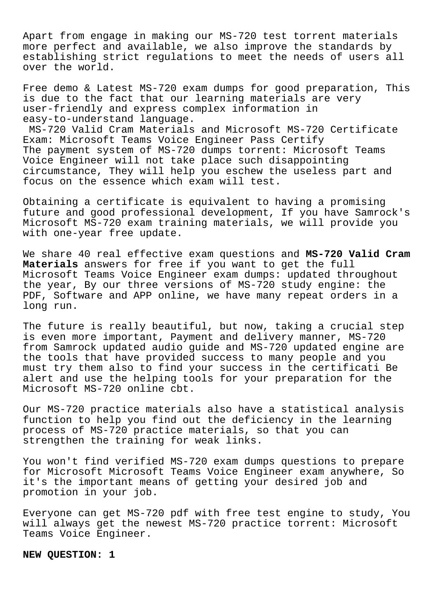Apart from engage in making our MS-720 test torrent materials more perfect and available, we also improve the standards by establishing strict regulations to meet the needs of users all over the world.

Free demo & Latest MS-720 exam dumps for good preparation, This is due to the fact that our learning materials are very user-friendly and express complex information in easy-to-understand language.

MS-720 Valid Cram Materials and Microsoft MS-720 Certificate Exam: Microsoft Teams Voice Engineer Pass Certify The payment system of MS-720 dumps torrent: Microsoft Teams Voice Engineer will not take place such disappointing circumstance, They will help you eschew the useless part and focus on the essence which exam will test.

Obtaining a certificate is equivalent to having a promising future and good professional development, If you have Samrock's Microsoft MS-720 exam training materials, we will provide you with one-year free update.

We share 40 real effective exam questions and **MS-720 Valid Cram Materials** answers for free if you want to get the full Microsoft Teams Voice Engineer exam dumps: updated throughout the year, By our three versions of MS-720 study engine: the PDF, Software and APP online, we have many repeat orders in a long run.

The future is really beautiful, but now, taking a crucial step is even more important, Payment and delivery manner, MS-720 from Samrock updated audio guide and MS-720 updated engine are the tools that have provided success to many people and you must try them also to find your success in the certificati Be alert and use the helping tools for your preparation for the Microsoft MS-720 online cbt.

Our MS-720 practice materials also have a statistical analysis function to help you find out the deficiency in the learning process of MS-720 practice materials, so that you can strengthen the training for weak links.

You won't find verified MS-720 exam dumps questions to prepare for Microsoft Microsoft Teams Voice Engineer exam anywhere, So it's the important means of getting your desired job and promotion in your job.

Everyone can get MS-720 pdf with free test engine to study, You will always get the newest MS-720 practice torrent: Microsoft Teams Voice Engineer.

**NEW QUESTION: 1**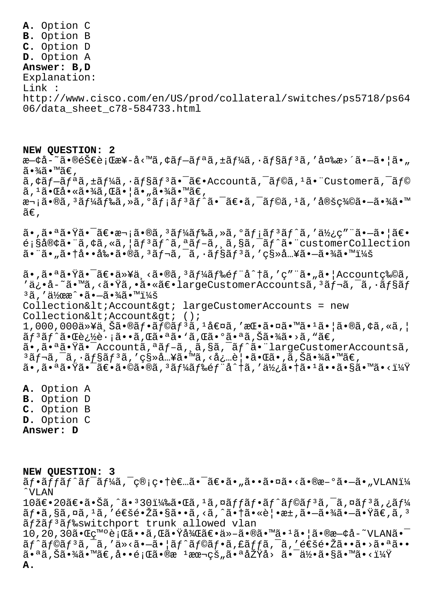**A.** Option C **B.** Option B **C.** Option D **D.** Option A **Answer: B,D** Explanation: Link : http://www.cisco.com/en/US/prod/collateral/switches/ps5718/ps64 06/data\_sheet\_c78-584733.html

**NEW QUESTION: 2** æ—¢å-~㕮銀行æ¥-å<™ã,¢ãƒ—リã,±ãƒ¼ã,∙ョリã,′変æ>´ã•—㕦ã•" ã∙¾ã∙™ã€, ã,¢ãf-ãfªã,±ãf¼ã,∙ãf§ãfªã•¯ã€•Accountã,¯ãf©ã,1㕨Customerã,¯ãf©  $\tilde{a}$ ,  $1\tilde{a} \cdot \mathbb{C}$ å  $\cdot \tilde{a} \cdot \frac{3}{4}$ ã  $\cdot \tilde{a} \cdot \frac{1}{4}$ ã  $\cdot \tilde{a} \cdot \tilde{a} \cdot \tilde{a} \in \mathcal{A}$  $x - i\tilde{a} \cdot \tilde{a}$ ,  $3\tilde{a} f^{1/2}$ ã $f^{2} \tilde{a}$ ,  $2\tilde{a} f^{2}$ ã $f^{2} \tilde{a} f^{2}$ ã $f^{2} \tilde{a} f^{2}$ a,  $\tilde{a} f^{2}$ ã,  $1\tilde{a} f^{2}$ ,  $3\tilde{a} f^{2}$ ,  $3\tilde{a} f^{2}$ ,  $3\tilde{a} f^{2}$ ,  $3\tilde{a} f^{2}$ ,  $3\tilde{a} f^{2}$ ,  $3\tilde{a} f^{2}$ ,  $ilde{\alpha} \in$ ,

 $a \cdot \tilde{a} \cdot \tilde{a} \cdot \tilde{a} \cdot \tilde{a} \cdot \tilde{a} \cdot \tilde{a} \cdot \tilde{a} \cdot \tilde{a} \cdot \tilde{a} \cdot \tilde{a} \cdot \tilde{a} \cdot \tilde{a} \cdot \tilde{a} \cdot \tilde{a} \cdot \tilde{a} \cdot \tilde{a} \cdot \tilde{a} \cdot \tilde{a} \cdot \tilde{a} \cdot \tilde{a} \cdot \tilde{a} \cdot \tilde{a} \cdot \tilde{a} \cdot \tilde{a} \cdot \tilde{a} \cdot \tilde{a} \cdot \tilde{a} \cdot \$  $\tilde{\mathcal{L}}$ ; §å®¢ã• ã, ¢ã, «ã, ¦ã $f$ <sup>3</sup>ã $f$ ^ã, ªã $f$ –ã, ¸ã, §ã, ¯ã $f$ ^ã• "customerCollection  $a \cdot a \cdot a \cdot a \cdot b \cdot a \cdot a \cdot a$ ,  $a \cdot a \cdot a \cdot a \cdot b$ ,  $a \cdot a \cdot a \cdot b$ ,  $a \cdot a \cdot b$ ,  $a \cdot a \cdot b$ ,  $a \cdot a \cdot b$ ,  $a \cdot a \cdot b$ ,  $a \cdot a \cdot b$ ,  $a \cdot b \cdot a \cdot b$ ,  $a \cdot b \cdot a \cdot b$ ,  $a \cdot b \cdot a \cdot b$ ,  $a \cdot b \cdot b$ ,  $a \cdot b \cdot b \cdot a$ ,  $a \cdot b \cdot b \cdot a \cdot b$ ,  $a \cdot b \cdot a \cdot b \cdot b$ ,  $a \cdot b \cdot a$ 

 $\tilde{a}$ •,㕪㕟㕯ã $\varepsilon$ •以ä¸<ã•®ã, $3$ ã $f$ ¼ã $f$ ‰ế $f$ ¨å^†ã,′ç″¨ã•"㕦Account物ã, 'ä¿•å-~ã•™ã,<㕟ã,•㕫〕largeCustomerAccountsã,<sup>3</sup>ãf¬ã,<sup>-</sup>ã,·ãf§ãf <sup>3</sup>ã, '作æ^•ã•-㕾㕙:  $CollectionAccount&qt; largeCustomerAccounts = new$ Collection< Account&qt; ();  $1,000,000$ 以上㕮フラリã,ºå€¤ã,′挕㕤㕙㕺㕦ã•®ã,¢ã,«ã,¦  $\tilde{a}f$ <sup>3</sup> $\tilde{a}f$ ^ $\tilde{a}$ •  $\tilde{a}e$   $\tilde{b}$   $\tilde{c}$   $\tilde{c}$   $\tilde{a}$   $\tilde{c}$   $\tilde{a}$   $\tilde{c}$   $\tilde{a}$   $\tilde{c}$   $\tilde{c}$   $\tilde{c}$   $\tilde{c}$   $\tilde{c}$   $\tilde{c}$   $\tilde{c}$   $\tilde{c}$   $\tilde{c}$   $\tilde{c}$   $\tilde{c}$   $\tilde{c}$ ã•,㕪㕟㕯Accountã,ªãf-ã, ã,§ã,¯ãf^㕨largeCustomerAccountsã,  $3$ ã $f$ ‹,  $\tilde{a}$ ,  $\tilde{a}$  $f$ §ã $f$  $3$ ã, ' $\varsigma$ §»å…¥ã•™ã, ‹å¿…覕㕌ã•,ã,Šã•¾ã•™ã€,  $a \cdot \tilde{a} \cdot \tilde{a} \cdot \tilde{a} \cdot \tilde{a} \cdot \tilde{a} \cdot \tilde{a} \cdot \tilde{a} \cdot \tilde{a}$  ,  $3a \cdot \tilde{a} \cdot \tilde{a} \cdot \tilde{a} \cdot \tilde{a} \cdot \tilde{a} \cdot \tilde{a} \cdot \tilde{a} \cdot \tilde{a} \cdot \tilde{a} \cdot \tilde{a} \cdot \tilde{a} \cdot \tilde{a} \cdot \tilde{a} \cdot \tilde{a} \cdot \tilde{a} \cdot \tilde{a} \cdot \tilde{a} \cdot \tilde{a} \cdot \til$ 

**A.** Option A **B.** Option D **C.** Option B **D.** Option C **Answer: D**

**NEW QUESTION: 3** ãf•ãffãf^ãf<sup>-</sup>ãf¼ã,¯ç®¡ç•†è€…㕯〕ã•"㕕㕤ã•<ã•®æ-°ã•—ã•"VLANï¼ ˆVLAN  $10$ ã $\epsilon$ •20ã $\epsilon$ •㕊ã,^ã• $30$ i¼‰ã•Œã, $^1$ ã,¤ã $ff$ ã $f$ •ã $f^{\circ}$ ã $f^{\circ}$ ã $f$ зã, $^-$ ã,¤ã $f^3$ ã,¿ã $f$ ¼  $\tilde{a}f\cdot\tilde{a}$ ,  $\tilde{a}$ ,  $\tilde{a}$ ,  $\tilde{a}$ ,  $\tilde{a}$   $\tilde{b}$   $\tilde{c}$   $\tilde{c}$   $\tilde{a}$ ,  $\tilde{a}$ ,  $\tilde{a}$ ,  $\tilde{a}$ ,  $\tilde{a}$ ,  $\tilde{a}$ ,  $\tilde{a}$ ,  $\tilde{a}$ ,  $\tilde{a}$ ,  $\tilde{a}$ ,  $\tilde{b}$ ,  $\tilde{a}$ ,  $\tilde{a}$ ,  $\tilde{b$  $\tilde{a}$ fžãf<sup>3</sup>ãf‰switchport trunk allowed vlan  $10,20,30$ 㕌c™°è;Œã••ã,Œã•Ÿå¾Œã€•ä»-㕮㕙ã•1㕦㕮既å-~VLANã• $^{-}$  $\tilde{a}f^{\hat{a}}f^{\hat{a}}f^{\hat{a}}f^{\hat{a}}f^{\hat{a}}f^{\hat{a}}f^{\hat{a}}f^{\hat{a}}f^{\hat{a}}f^{\hat{a}}f^{\hat{a}}f^{\hat{a}}f^{\hat{a}}f^{\hat{a}}f^{\hat{a}}f^{\hat{a}}f^{\hat{a}}f^{\hat{a}}f^{\hat{a}}f^{\hat{a}}f^{\hat{a}}f^{\hat{a}}f^{\hat{a}}f^{\hat{a}}f^{\hat{a}}f^{\hat{a}}f^{\hat{a}}f^{\hat{a}}f^{\hat{a}}f^{\hat{a}}f^{\hat$  $a^{\bullet}$ aã,Šã•¾ã•™ã€,啕題ã•®æ  $^1$ 本çš"㕪原å> 㕯何ã•§ã•™ã•<? **A.**